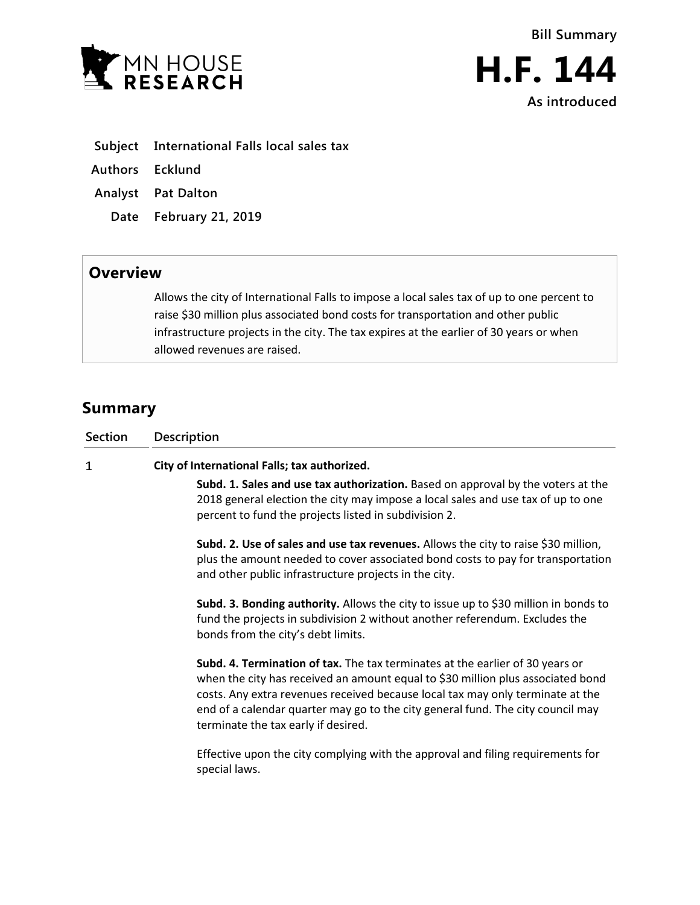



**H.F. 144 As introduced**

- **Subject International Falls local sales tax**
- **Authors Ecklund**
- **Analyst Pat Dalton**
	- **Date February 21, 2019**

## **Overview**

Allows the city of International Falls to impose a local sales tax of up to one percent to raise \$30 million plus associated bond costs for transportation and other public infrastructure projects in the city. The tax expires at the earlier of 30 years or when allowed revenues are raised.

## **Summary**

| <b>Section</b> | <b>Description</b>                                                                                                                                                                                                                                                                                                                                                           |
|----------------|------------------------------------------------------------------------------------------------------------------------------------------------------------------------------------------------------------------------------------------------------------------------------------------------------------------------------------------------------------------------------|
| 1              | City of International Falls; tax authorized.                                                                                                                                                                                                                                                                                                                                 |
|                | Subd. 1. Sales and use tax authorization. Based on approval by the voters at the<br>2018 general election the city may impose a local sales and use tax of up to one<br>percent to fund the projects listed in subdivision 2.                                                                                                                                                |
|                | Subd. 2. Use of sales and use tax revenues. Allows the city to raise \$30 million,<br>plus the amount needed to cover associated bond costs to pay for transportation<br>and other public infrastructure projects in the city.                                                                                                                                               |
|                | Subd. 3. Bonding authority. Allows the city to issue up to \$30 million in bonds to<br>fund the projects in subdivision 2 without another referendum. Excludes the<br>bonds from the city's debt limits.                                                                                                                                                                     |
|                | Subd. 4. Termination of tax. The tax terminates at the earlier of 30 years or<br>when the city has received an amount equal to \$30 million plus associated bond<br>costs. Any extra revenues received because local tax may only terminate at the<br>end of a calendar quarter may go to the city general fund. The city council may<br>terminate the tax early if desired. |
|                | Effective upon the city complying with the approval and filing requirements for<br>special laws.                                                                                                                                                                                                                                                                             |